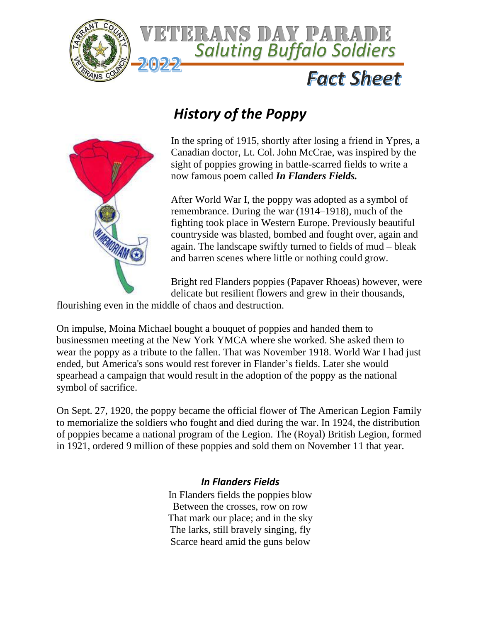



## *History of the Poppy*



In the spring of 1915, shortly after losing a friend in Ypres, a Canadian doctor, Lt. Col. John McCrae, was inspired by the sight of poppies growing in battle-scarred fields to write a now famous poem called *In Flanders Fields.*

After World War I, the poppy was adopted as a symbol of remembrance. During the war (1914–1918), much of the fighting took place in Western Europe. Previously beautiful countryside was blasted, bombed and fought over, again and again. The landscape swiftly turned to fields of mud – bleak and barren scenes where little or nothing could grow.

Bright red Flanders poppies (Papaver Rhoeas) however, were delicate but resilient flowers and grew in their thousands,

flourishing even in the middle of chaos and destruction.

On impulse, Moina Michael bought a bouquet of poppies and handed them to businessmen meeting at the New York YMCA where she worked. She asked them to wear the poppy as a tribute to the fallen. That was November 1918. World War I had just ended, but America's sons would rest forever in Flander's fields. Later she would spearhead a campaign that would result in the adoption of the poppy as the national symbol of sacrifice.

On Sept. 27, 1920, the poppy became the official flower of The American Legion Family to memorialize the soldiers who fought and died during the war. In 1924, the distribution of poppies became a national program of the Legion. The (Royal) British Legion, formed in 1921, ordered 9 million of these poppies and sold them on November 11 that year.

## *In Flanders Fields*

In Flanders fields the poppies blow Between the crosses, row on row That mark our place; and in the sky The larks, still bravely singing, fly Scarce heard amid the guns below